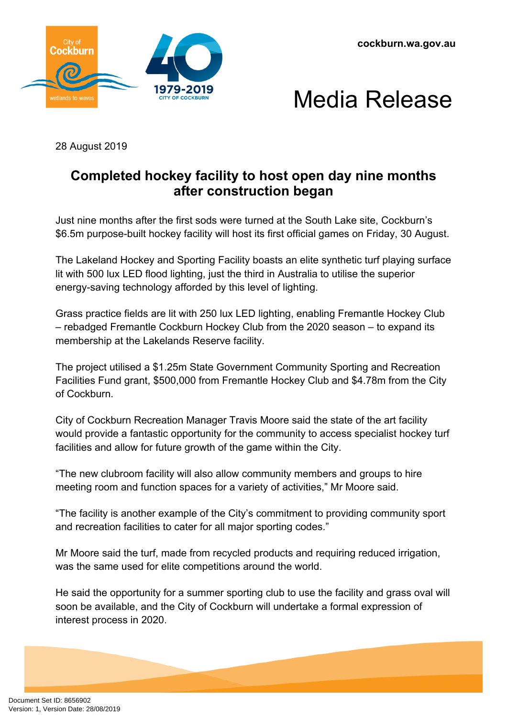





28 August 2019

## **Completed hockey facility to host open day nine months after construction began**

Just nine months after the first sods were turned at the South Lake site, Cockburn's \$6.5m purpose-built hockey facility will host its first official games on Friday, 30 August.

The Lakeland Hockey and Sporting Facility boasts an elite synthetic turf playing surface lit with 500 lux LED flood lighting, just the third in Australia to utilise the superior energy-saving technology afforded by this level of lighting.

Grass practice fields are lit with 250 lux LED lighting, enabling Fremantle Hockey Club – rebadged Fremantle Cockburn Hockey Club from the 2020 season – to expand its membership at the Lakelands Reserve facility.

The project utilised a \$1.25m State Government Community Sporting and Recreation Facilities Fund grant, \$500,000 from Fremantle Hockey Club and \$4.78m from the City of Cockburn.

City of Cockburn Recreation Manager Travis Moore said the state of the art facility would provide a fantastic opportunity for the community to access specialist hockey turf facilities and allow for future growth of the game within the City.

"The new clubroom facility will also allow community members and groups to hire meeting room and function spaces for a variety of activities," Mr Moore said.

"The facility is another example of the City's commitment to providing community sport and recreation facilities to cater for all major sporting codes."

Mr Moore said the turf, made from recycled products and requiring reduced irrigation, was the same used for elite competitions around the world.

He said the opportunity for a summer sporting club to use the facility and grass oval will soon be available, and the City of Cockburn will undertake a formal expression of interest process in 2020.